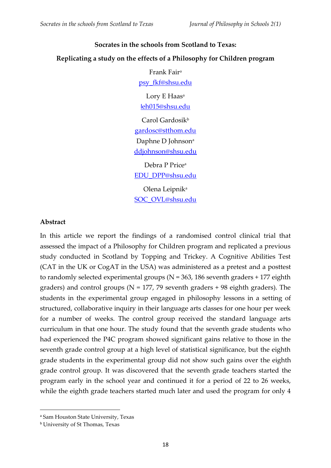# **Socrates in the schools from Scotland to Texas: Replicating a study on the effects of a Philosophy for Children program**

Frank Fair<sup>a</sup> [psy\\_fkf@shsu.edu](mailto:psy_fkf@shsu.edu) Lory E Haas<sup>a</sup> l[eh015@shsu.edu](mailto:leh015@shsu.edu) Carol Gardosik<sup>b</sup> [gardosc@stthom.edu](mailto:gardosc@stthom.edu) Daphne D Johnson<sup>a</sup> [ddjohnson@shsu.edu](mailto:ddjohnson@shsu.edu) Debra P Price<sup>a</sup> [EDU\\_DPP@shsu.edu](mailto:EDU_DPP@shsu.edu)

Olena Leipnik<sup>a</sup> [SOC\\_OVL@shsu.edu](mailto:SOC_OVL@shsu.edu)

#### **Abstract**

In this article we report the findings of a randomised control clinical trial that assessed the impact of a Philosophy for Children program and replicated a previous study conducted in Scotland by Topping and Trickey. A Cognitive Abilities Test (CAT in the UK or CogAT in the USA) was administered as a pretest and a posttest to randomly selected experimental groups ( $N = 363$ , 186 seventh graders + 177 eighth graders) and control groups ( $N = 177, 79$  seventh graders + 98 eighth graders). The students in the experimental group engaged in philosophy lessons in a setting of structured, collaborative inquiry in their language arts classes for one hour per week for a number of weeks. The control group received the standard language arts curriculum in that one hour. The study found that the seventh grade students who had experienced the P4C program showed significant gains relative to those in the seventh grade control group at a high level of statistical significance, but the eighth grade students in the experimental group did not show such gains over the eighth grade control group. It was discovered that the seventh grade teachers started the program early in the school year and continued it for a period of 22 to 26 weeks, while the eighth grade teachers started much later and used the program for only 4

<u>.</u>

<sup>&</sup>lt;sup>a</sup> Sam Houston State University, Texas

<sup>b</sup> University of St Thomas, Texas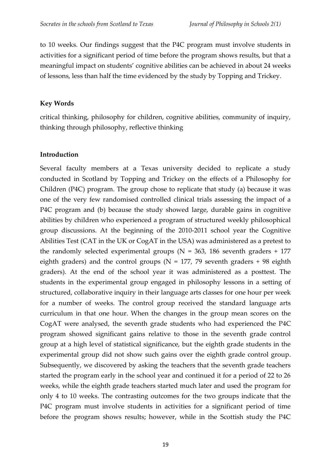to 10 weeks. Our findings suggest that the P4C program must involve students in activities for a significant period of time before the program shows results, but that a meaningful impact on students' cognitive abilities can be achieved in about 24 weeks of lessons, less than half the time evidenced by the study by Topping and Trickey.

#### **Key Words**

critical thinking, philosophy for children, cognitive abilities, community of inquiry, thinking through philosophy, reflective thinking

#### **Introduction**

Several faculty members at a Texas university decided to replicate a study conducted in Scotland by Topping and Trickey on the effects of a Philosophy for Children (P4C) program. The group chose to replicate that study (a) because it was one of the very few randomised controlled clinical trials assessing the impact of a P4C program and (b) because the study showed large, durable gains in cognitive abilities by children who experienced a program of structured weekly philosophical group discussions. At the beginning of the 2010-2011 school year the Cognitive Abilities Test (CAT in the UK or CogAT in the USA) was administered as a pretest to the randomly selected experimental groups ( $N = 363$ , 186 seventh graders + 177 eighth graders) and the control groups ( $N = 177$ , 79 seventh graders + 98 eighth graders). At the end of the school year it was administered as a posttest. The students in the experimental group engaged in philosophy lessons in a setting of structured, collaborative inquiry in their language arts classes for one hour per week for a number of weeks. The control group received the standard language arts curriculum in that one hour. When the changes in the group mean scores on the CogAT were analysed, the seventh grade students who had experienced the P4C program showed significant gains relative to those in the seventh grade control group at a high level of statistical significance, but the eighth grade students in the experimental group did not show such gains over the eighth grade control group. Subsequently, we discovered by asking the teachers that the seventh grade teachers started the program early in the school year and continued it for a period of 22 to 26 weeks, while the eighth grade teachers started much later and used the program for only 4 to 10 weeks. The contrasting outcomes for the two groups indicate that the P4C program must involve students in activities for a significant period of time before the program shows results; however, while in the Scottish study the P4C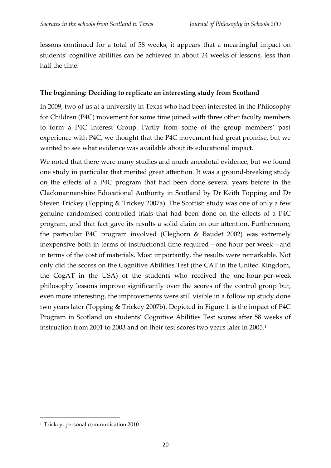lessons continued for a total of 58 weeks, it appears that a meaningful impact on students' cognitive abilities can be achieved in about 24 weeks of lessons, less than half the time.

#### **The beginning: Deciding to replicate an interesting study from Scotland**

In 2009, two of us at a university in Texas who had been interested in the Philosophy for Children (P4C) movement for some time joined with three other faculty members to form a P4C Interest Group. Partly from some of the group members' past experience with P4C, we thought that the P4C movement had great promise, but we wanted to see what evidence was available about its educational impact.

We noted that there were many studies and much anecdotal evidence, but we found one study in particular that merited great attention. It was a ground-breaking study on the effects of a P4C program that had been done several years before in the Clackmannanshire Educational Authority in Scotland by Dr Keith Topping and Dr Steven Trickey (Topping & Trickey 2007a). The Scottish study was one of only a few genuine randomised controlled trials that had been done on the effects of a P4C program, and that fact gave its results a solid claim on our attention. Furthermore, the particular P4C program involved (Cleghorn & Baudet 2002) was extremely inexpensive both in terms of instructional time required—one hour per week—and in terms of the cost of materials. Most importantly, the results were remarkable. Not only did the scores on the Cognitive Abilities Test (the CAT in the United Kingdom, the CogAT in the USA) of the students who received the one-hour-per-week philosophy lessons improve significantly over the scores of the control group but, even more interesting, the improvements were still visible in a follow up study done two years later (Topping & Trickey 2007b). Depicted in Figure 1 is the impact of P4C Program in Scotland on students' Cognitive Abilities Test scores after 58 weeks of instruction from 2001 to 2003 and on their test scores two years later in 2005. 1

<u>.</u>

<sup>&</sup>lt;sup>1</sup> Trickey, personal communication 2010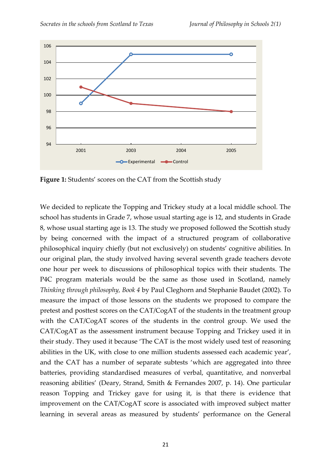

**Figure 1:** Students' scores on the CAT from the Scottish study

We decided to replicate the Topping and Trickey study at a local middle school. The school has students in Grade 7, whose usual starting age is 12, and students in Grade 8, whose usual starting age is 13. The study we proposed followed the Scottish study by being concerned with the impact of a structured program of collaborative philosophical inquiry chiefly (but not exclusively) on students' cognitive abilities. In our original plan, the study involved having several seventh grade teachers devote one hour per week to discussions of philosophical topics with their students. The P4C program materials would be the same as those used in Scotland, namely *Thinking through philosophy, Book 4* by Paul Cleghorn and Stephanie Baudet (2002). To measure the impact of those lessons on the students we proposed to compare the pretest and posttest scores on the CAT/CogAT of the students in the treatment group with the CAT/CogAT scores of the students in the control group. We used the CAT/CogAT as the assessment instrument because Topping and Trickey used it in their study. They used it because 'The CAT is the most widely used test of reasoning abilities in the UK, with close to one million students assessed each academic year', and the CAT has a number of separate subtests 'which are aggregated into three batteries, providing standardised measures of verbal, quantitative, and nonverbal reasoning abilities' (Deary, Strand, Smith & Fernandes 2007, p. 14). One particular reason Topping and Trickey gave for using it, is that there is evidence that improvement on the CAT/CogAT score is associated with improved subject matter learning in several areas as measured by students' performance on the General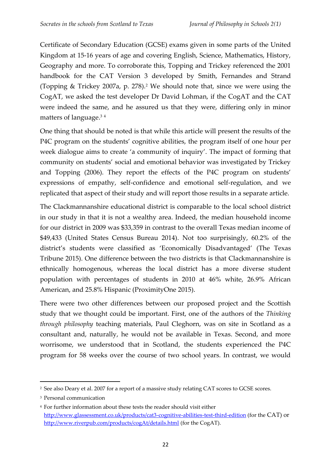Certificate of Secondary Education (GCSE) exams given in some parts of the United Kingdom at 15-16 years of age and covering English, Science, Mathematics, History, Geography and more. To corroborate this, Topping and Trickey referenced the 2001 handbook for the CAT Version 3 developed by Smith, Fernandes and Strand (Topping & Trickey 2007a, p. 278). <sup>2</sup> We should note that, since we were using the CogAT, we asked the test developer Dr David Lohman, if the CogAT and the CAT were indeed the same, and he assured us that they were, differing only in minor matters of language. 3 4

One thing that should be noted is that while this article will present the results of the P4C program on the students' cognitive abilities, the program itself of one hour per week dialogue aims to create 'a community of inquiry'. The impact of forming that community on students' social and emotional behavior was investigated by Trickey and Topping (2006). They report the effects of the P4C program on students' expressions of empathy, self-confidence and emotional self-regulation, and we replicated that aspect of their study and will report those results in a separate article.

The Clackmannanshire educational district is comparable to the local school district in our study in that it is not a wealthy area. Indeed, the median household income for our district in 2009 was \$33,359 in contrast to the overall Texas median income of \$49,433 (United States Census Bureau 2014). Not too surprisingly, 60.2% of the district's students were classified as 'Economically Disadvantaged' (The Texas Tribune 2015). One difference between the two districts is that Clackmannanshire is ethnically homogenous, whereas the local district has a more diverse student population with percentages of students in 2010 at 46% white, 26.9% African American, and 25.8% Hispanic (ProximityOne 2015).

There were two other differences between our proposed project and the Scottish study that we thought could be important. First, one of the authors of the *Thinking through philosophy* teaching materials, Paul Cleghorn, was on site in Scotland as a consultant and, naturally, he would not be available in Texas. Second, and more worrisome, we understood that in Scotland, the students experienced the P4C program for 58 weeks over the course of two school years. In contrast, we would

<u>.</u>

<sup>&</sup>lt;sup>2</sup> See also Deary et al. 2007 for a report of a massive study relating CAT scores to GCSE scores.

<sup>3</sup> Personal communication

<sup>4</sup> For further information about these tests the reader should visit either <http://www.glassessment.co.uk/products/cat3-cognitive-abilities-test-third-edition> (for the CAT) or <http://www.riverpub.com/products/cogAt/details.html> (for the CogAT).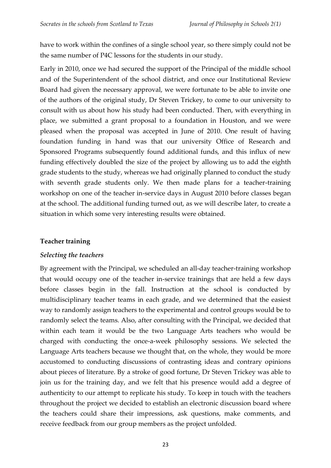have to work within the confines of a single school year, so there simply could not be the same number of P4C lessons for the students in our study.

Early in 2010, once we had secured the support of the Principal of the middle school and of the Superintendent of the school district, and once our Institutional Review Board had given the necessary approval, we were fortunate to be able to invite one of the authors of the original study, Dr Steven Trickey, to come to our university to consult with us about how his study had been conducted. Then, with everything in place, we submitted a grant proposal to a foundation in Houston, and we were pleased when the proposal was accepted in June of 2010. One result of having foundation funding in hand was that our university Office of Research and Sponsored Programs subsequently found additional funds, and this influx of new funding effectively doubled the size of the project by allowing us to add the eighth grade students to the study, whereas we had originally planned to conduct the study with seventh grade students only. We then made plans for a teacher-training workshop on one of the teacher in-service days in August 2010 before classes began at the school. The additional funding turned out, as we will describe later, to create a situation in which some very interesting results were obtained.

### **Teacher training**

### *Selecting the teachers*

By agreement with the Principal, we scheduled an all-day teacher-training workshop that would occupy one of the teacher in-service trainings that are held a few days before classes begin in the fall. Instruction at the school is conducted by multidisciplinary teacher teams in each grade, and we determined that the easiest way to randomly assign teachers to the experimental and control groups would be to randomly select the teams. Also, after consulting with the Principal, we decided that within each team it would be the two Language Arts teachers who would be charged with conducting the once-a-week philosophy sessions. We selected the Language Arts teachers because we thought that, on the whole, they would be more accustomed to conducting discussions of contrasting ideas and contrary opinions about pieces of literature. By a stroke of good fortune, Dr Steven Trickey was able to join us for the training day, and we felt that his presence would add a degree of authenticity to our attempt to replicate his study. To keep in touch with the teachers throughout the project we decided to establish an electronic discussion board where the teachers could share their impressions, ask questions, make comments, and receive feedback from our group members as the project unfolded.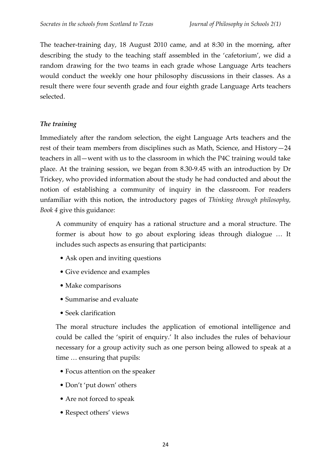The teacher-training day, 18 August 2010 came, and at 8:30 in the morning, after describing the study to the teaching staff assembled in the 'cafetorium', we did a random drawing for the two teams in each grade whose Language Arts teachers would conduct the weekly one hour philosophy discussions in their classes. As a result there were four seventh grade and four eighth grade Language Arts teachers selected.

### *The training*

Immediately after the random selection, the eight Language Arts teachers and the rest of their team members from disciplines such as Math, Science, and History—24 teachers in all—went with us to the classroom in which the P4C training would take place. At the training session, we began from 8.30-9.45 with an introduction by Dr Trickey, who provided information about the study he had conducted and about the notion of establishing a community of inquiry in the classroom. For readers unfamiliar with this notion, the introductory pages of *Thinking through philosophy, Book 4* give this guidance:

A community of enquiry has a rational structure and a moral structure. The former is about how to go about exploring ideas through dialogue … It includes such aspects as ensuring that participants:

- Ask open and inviting questions
- Give evidence and examples
- Make comparisons
- Summarise and evaluate
- Seek clarification

The moral structure includes the application of emotional intelligence and could be called the 'spirit of enquiry.' It also includes the rules of behaviour necessary for a group activity such as one person being allowed to speak at a time … ensuring that pupils:

- Focus attention on the speaker
- Don't 'put down' others
- Are not forced to speak
- Respect others' views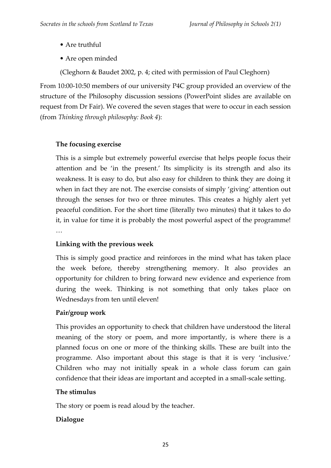- Are truthful
- Are open minded

(Cleghorn & Baudet 2002, p. 4; cited with permission of Paul Cleghorn)

From 10:00-10:50 members of our university P4C group provided an overview of the structure of the Philosophy discussion sessions (PowerPoint slides are available on request from Dr Fair). We covered the seven stages that were to occur in each session (from *Thinking through philosophy: Book 4*):

# **The focusing exercise**

This is a simple but extremely powerful exercise that helps people focus their attention and be 'in the present.' Its simplicity is its strength and also its weakness. It is easy to do, but also easy for children to think they are doing it when in fact they are not. The exercise consists of simply 'giving' attention out through the senses for two or three minutes. This creates a highly alert yet peaceful condition. For the short time (literally two minutes) that it takes to do it, in value for time it is probably the most powerful aspect of the programme! …

# **Linking with the previous week**

This is simply good practice and reinforces in the mind what has taken place the week before, thereby strengthening memory. It also provides an opportunity for children to bring forward new evidence and experience from during the week. Thinking is not something that only takes place on Wednesdays from ten until eleven!

# **Pair/group work**

This provides an opportunity to check that children have understood the literal meaning of the story or poem, and more importantly, is where there is a planned focus on one or more of the thinking skills. These are built into the programme. Also important about this stage is that it is very 'inclusive.' Children who may not initially speak in a whole class forum can gain confidence that their ideas are important and accepted in a small-scale setting.

# **The stimulus**

The story or poem is read aloud by the teacher.

# **Dialogue**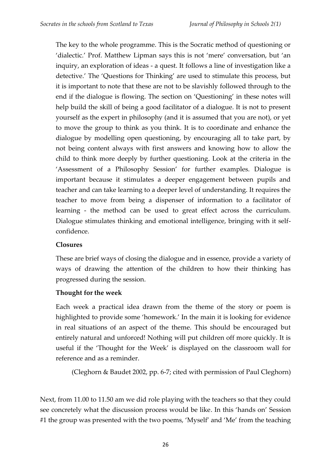The key to the whole programme. This is the Socratic method of questioning or 'dialectic.' Prof. Matthew Lipman says this is not 'mere' conversation, but 'an inquiry, an exploration of ideas - a quest. It follows a line of investigation like a detective.' The 'Questions for Thinking' are used to stimulate this process, but it is important to note that these are not to be slavishly followed through to the end if the dialogue is flowing. The section on 'Questioning' in these notes will help build the skill of being a good facilitator of a dialogue. It is not to present yourself as the expert in philosophy (and it is assumed that you are not), or yet to move the group to think as you think. It is to coordinate and enhance the dialogue by modelling open questioning, by encouraging all to take part, by not being content always with first answers and knowing how to allow the child to think more deeply by further questioning. Look at the criteria in the 'Assessment of a Philosophy Session' for further examples. Dialogue is important because it stimulates a deeper engagement between pupils and teacher and can take learning to a deeper level of understanding. It requires the teacher to move from being a dispenser of information to a facilitator of learning - the method can be used to great effect across the curriculum. Dialogue stimulates thinking and emotional intelligence, bringing with it selfconfidence.

### **Closures**

These are brief ways of closing the dialogue and in essence, provide a variety of ways of drawing the attention of the children to how their thinking has progressed during the session.

### **Thought for the week**

Each week a practical idea drawn from the theme of the story or poem is highlighted to provide some 'homework.' In the main it is looking for evidence in real situations of an aspect of the theme. This should be encouraged but entirely natural and unforced! Nothing will put children off more quickly. It is useful if the 'Thought for the Week' is displayed on the classroom wall for reference and as a reminder.

(Cleghorn & Baudet 2002, pp. 6-7; cited with permission of Paul Cleghorn)

Next, from 11.00 to 11.50 am we did role playing with the teachers so that they could see concretely what the discussion process would be like. In this 'hands on' Session #1 the group was presented with the two poems, 'Myself' and 'Me' from the teaching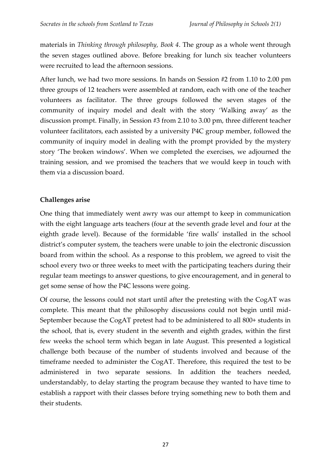materials in *Thinking through philosophy, Book 4*. The group as a whole went through the seven stages outlined above. Before breaking for lunch six teacher volunteers were recruited to lead the afternoon sessions.

After lunch, we had two more sessions. In hands on Session #2 from 1.10 to 2.00 pm three groups of 12 teachers were assembled at random, each with one of the teacher volunteers as facilitator. The three groups followed the seven stages of the community of inquiry model and dealt with the story 'Walking away' as the discussion prompt. Finally, in Session #3 from 2.10 to 3.00 pm, three different teacher volunteer facilitators, each assisted by a university P4C group member, followed the community of inquiry model in dealing with the prompt provided by the mystery story 'The broken windows'. When we completed the exercises, we adjourned the training session, and we promised the teachers that we would keep in touch with them via a discussion board.

### **Challenges arise**

One thing that immediately went awry was our attempt to keep in communication with the eight language arts teachers (four at the seventh grade level and four at the eighth grade level). Because of the formidable 'fire walls' installed in the school district's computer system, the teachers were unable to join the electronic discussion board from within the school. As a response to this problem, we agreed to visit the school every two or three weeks to meet with the participating teachers during their regular team meetings to answer questions, to give encouragement, and in general to get some sense of how the P4C lessons were going.

Of course, the lessons could not start until after the pretesting with the CogAT was complete. This meant that the philosophy discussions could not begin until mid-September because the CogAT pretest had to be administered to all 800+ students in the school, that is, every student in the seventh and eighth grades, within the first few weeks the school term which began in late August. This presented a logistical challenge both because of the number of students involved and because of the timeframe needed to administer the CogAT. Therefore, this required the test to be administered in two separate sessions. In addition the teachers needed, understandably, to delay starting the program because they wanted to have time to establish a rapport with their classes before trying something new to both them and their students.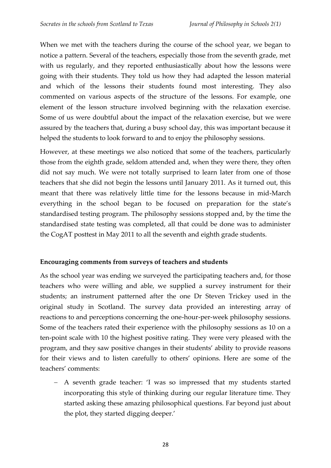When we met with the teachers during the course of the school year, we began to notice a pattern. Several of the teachers, especially those from the seventh grade, met with us regularly, and they reported enthusiastically about how the lessons were going with their students. They told us how they had adapted the lesson material and which of the lessons their students found most interesting. They also commented on various aspects of the structure of the lessons. For example, one element of the lesson structure involved beginning with the relaxation exercise. Some of us were doubtful about the impact of the relaxation exercise, but we were assured by the teachers that, during a busy school day, this was important because it helped the students to look forward to and to enjoy the philosophy sessions.

However, at these meetings we also noticed that some of the teachers, particularly those from the eighth grade, seldom attended and, when they were there, they often did not say much. We were not totally surprised to learn later from one of those teachers that she did not begin the lessons until January 2011. As it turned out, this meant that there was relatively little time for the lessons because in mid-March everything in the school began to be focused on preparation for the state's standardised testing program. The philosophy sessions stopped and, by the time the standardised state testing was completed, all that could be done was to administer the CogAT posttest in May 2011 to all the seventh and eighth grade students.

### **Encouraging comments from surveys of teachers and students**

As the school year was ending we surveyed the participating teachers and, for those teachers who were willing and able, we supplied a survey instrument for their students; an instrument patterned after the one Dr Steven Trickey used in the original study in Scotland. The survey data provided an interesting array of reactions to and perceptions concerning the one-hour-per-week philosophy sessions. Some of the teachers rated their experience with the philosophy sessions as 10 on a ten-point scale with 10 the highest positive rating. They were very pleased with the program, and they saw positive changes in their students' ability to provide reasons for their views and to listen carefully to others' opinions. Here are some of the teachers' comments:

 A seventh grade teacher: 'I was so impressed that my students started incorporating this style of thinking during our regular literature time. They started asking these amazing philosophical questions. Far beyond just about the plot, they started digging deeper.'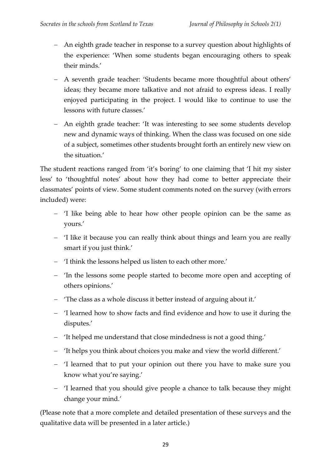- An eighth grade teacher in response to a survey question about highlights of the experience: 'When some students began encouraging others to speak their minds.'
- A seventh grade teacher: 'Students became more thoughtful about others' ideas; they became more talkative and not afraid to express ideas. I really enjoyed participating in the project. I would like to continue to use the lessons with future classes.'
- An eighth grade teacher: 'It was interesting to see some students develop new and dynamic ways of thinking. When the class was focused on one side of a subject, sometimes other students brought forth an entirely new view on the situation.'

The student reactions ranged from 'it's boring' to one claiming that 'I hit my sister less' to 'thoughtful notes' about how they had come to better appreciate their classmates' points of view. Some student comments noted on the survey (with errors included) were:

- 'I like being able to hear how other people opinion can be the same as yours.'
- 'I like it because you can really think about things and learn you are really smart if you just think.'
- 'I think the lessons helped us listen to each other more.'
- 'In the lessons some people started to become more open and accepting of others opinions.'
- 'The class as a whole discuss it better instead of arguing about it.'
- 'I learned how to show facts and find evidence and how to use it during the disputes.'
- 'It helped me understand that close mindedness is not a good thing.'
- 'It helps you think about choices you make and view the world different.'
- 'I learned that to put your opinion out there you have to make sure you know what you're saying.'
- 'I learned that you should give people a chance to talk because they might change your mind.'

(Please note that a more complete and detailed presentation of these surveys and the qualitative data will be presented in a later article.)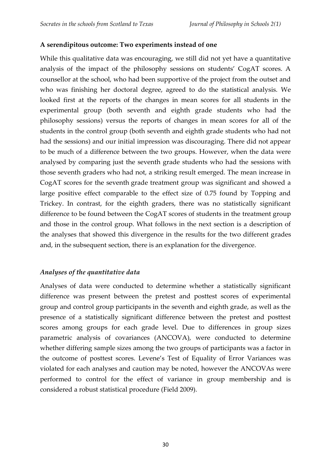### **A serendipitous outcome: Two experiments instead of one**

While this qualitative data was encouraging, we still did not yet have a quantitative analysis of the impact of the philosophy sessions on students' CogAT scores. A counsellor at the school, who had been supportive of the project from the outset and who was finishing her doctoral degree, agreed to do the statistical analysis. We looked first at the reports of the changes in mean scores for all students in the experimental group (both seventh and eighth grade students who had the philosophy sessions) versus the reports of changes in mean scores for all of the students in the control group (both seventh and eighth grade students who had not had the sessions) and our initial impression was discouraging. There did not appear to be much of a difference between the two groups. However, when the data were analysed by comparing just the seventh grade students who had the sessions with those seventh graders who had not, a striking result emerged. The mean increase in CogAT scores for the seventh grade treatment group was significant and showed a large positive effect comparable to the effect size of 0.75 found by Topping and Trickey. In contrast, for the eighth graders, there was no statistically significant difference to be found between the CogAT scores of students in the treatment group and those in the control group. What follows in the next section is a description of the analyses that showed this divergence in the results for the two different grades and, in the subsequent section, there is an explanation for the divergence.

### *Analyses of the quantitative data*

Analyses of data were conducted to determine whether a statistically significant difference was present between the pretest and posttest scores of experimental group and control group participants in the seventh and eighth grade, as well as the presence of a statistically significant difference between the pretest and posttest scores among groups for each grade level. Due to differences in group sizes parametric analysis of covariances (ANCOVA), were conducted to determine whether differing sample sizes among the two groups of participants was a factor in the outcome of posttest scores. Levene's Test of Equality of Error Variances was violated for each analyses and caution may be noted, however the ANCOVAs were performed to control for the effect of variance in group membership and is considered a robust statistical procedure (Field 2009).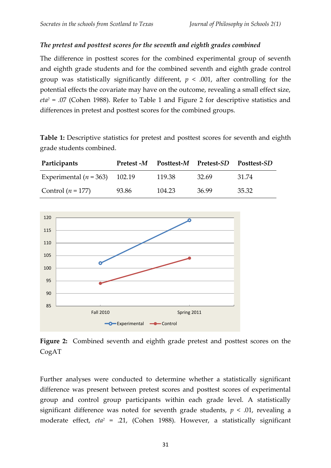### *The pretest and posttest scores for the seventh and eighth grades combined*

The difference in posttest scores for the combined experimental group of seventh and eighth grade students and for the combined seventh and eighth grade control group was statistically significantly different,  $p < .001$ , after controlling for the potential effects the covariate may have on the outcome, revealing a small effect size, *eta<sup>2</sup>* = .07 (Cohen 1988). Refer to Table 1 and Figure 2 for descriptive statistics and differences in pretest and posttest scores for the combined groups.

**Table 1:** Descriptive statistics for pretest and posttest scores for seventh and eighth grade students combined.

| Participants               | Pretest -M | Posttest-M Pretest-SD |       | Posttest-SD |
|----------------------------|------------|-----------------------|-------|-------------|
| Experimental ( $n = 363$ ) | 102.19     | 119.38                | 32.69 | 31 74       |
| Control $(n = 177)$        | 93.86      | 104.23                | 36.99 | 35.32       |



**Figure 2:** Combined seventh and eighth grade pretest and posttest scores on the CogAT

Further analyses were conducted to determine whether a statistically significant difference was present between pretest scores and posttest scores of experimental group and control group participants within each grade level. A statistically significant difference was noted for seventh grade students,  $p < .01$ , revealing a moderate effect, *eta<sup>2</sup>* = .21, (Cohen 1988). However, a statistically significant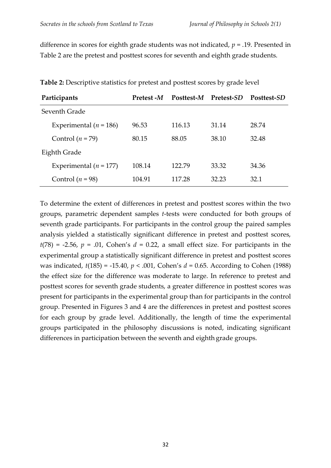difference in scores for eighth grade students was not indicated, *p* = .19. Presented in Table 2 are the pretest and posttest scores for seventh and eighth grade students.

| Participants               | Pretest -M | Posttest-M Pretest-SD Posttest-SD |       |       |
|----------------------------|------------|-----------------------------------|-------|-------|
| Seventh Grade              |            |                                   |       |       |
| Experimental ( $n = 186$ ) | 96.53      | 116.13                            | 31.14 | 28.74 |
| Control $(n = 79)$         | 80.15      | 88.05                             | 38.10 | 32.48 |
| Eighth Grade               |            |                                   |       |       |
| Experimental ( $n = 177$ ) | 108.14     | 122.79                            | 33.32 | 34.36 |
| Control $(n = 98)$         | 104.91     | 117.28                            | 32.23 | 32.1  |

**Table 2:** Descriptive statistics for pretest and posttest scores by grade level

To determine the extent of differences in pretest and posttest scores within the two groups, parametric dependent samples *t*-tests were conducted for both groups of seventh grade participants. For participants in the control group the paired samples analysis yielded a statistically significant difference in pretest and posttest scores,  $t(78) = -2.56$ ,  $p = .01$ , Cohen's  $d = 0.22$ , a small effect size. For participants in the experimental group a statistically significant difference in pretest and posttest scores was indicated, *t*(185) = -15.40, *p* < .001, Cohen's *d* = 0.65. According to Cohen (1988) the effect size for the difference was moderate to large. In reference to pretest and posttest scores for seventh grade students, a greater difference in posttest scores was present for participants in the experimental group than for participants in the control group. Presented in Figures 3 and 4 are the differences in pretest and posttest scores for each group by grade level. Additionally, the length of time the experimental groups participated in the philosophy discussions is noted, indicating significant differences in participation between the seventh and eighth grade groups.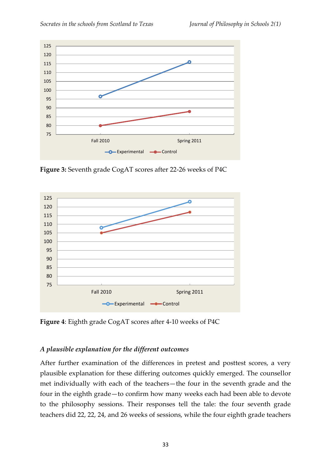

**Figure 3:** Seventh grade CogAT scores after 22-26 weeks of P4C



**Figure 4**: Eighth grade CogAT scores after 4-10 weeks of P4C

### *A plausible explanation for the different outcomes*

After further examination of the differences in pretest and posttest scores, a very plausible explanation for these differing outcomes quickly emerged. The counsellor met individually with each of the teachers—the four in the seventh grade and the four in the eighth grade—to confirm how many weeks each had been able to devote to the philosophy sessions. Their responses tell the tale: the four seventh grade teachers did 22, 22, 24, and 26 weeks of sessions, while the four eighth grade teachers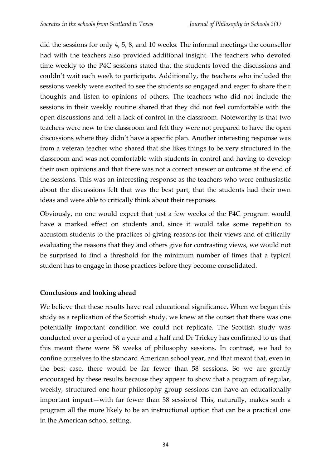did the sessions for only 4, 5, 8, and 10 weeks. The informal meetings the counsellor had with the teachers also provided additional insight. The teachers who devoted time weekly to the P4C sessions stated that the students loved the discussions and couldn't wait each week to participate. Additionally, the teachers who included the sessions weekly were excited to see the students so engaged and eager to share their thoughts and listen to opinions of others. The teachers who did not include the sessions in their weekly routine shared that they did not feel comfortable with the open discussions and felt a lack of control in the classroom. Noteworthy is that two teachers were new to the classroom and felt they were not prepared to have the open discussions where they didn't have a specific plan. Another interesting response was from a veteran teacher who shared that she likes things to be very structured in the classroom and was not comfortable with students in control and having to develop their own opinions and that there was not a correct answer or outcome at the end of the sessions. This was an interesting response as the teachers who were enthusiastic about the discussions felt that was the best part, that the students had their own ideas and were able to critically think about their responses.

Obviously, no one would expect that just a few weeks of the P4C program would have a marked effect on students and, since it would take some repetition to accustom students to the practices of giving reasons for their views and of critically evaluating the reasons that they and others give for contrasting views, we would not be surprised to find a threshold for the minimum number of times that a typical student has to engage in those practices before they become consolidated.

#### **Conclusions and looking ahead**

We believe that these results have real educational significance. When we began this study as a replication of the Scottish study, we knew at the outset that there was one potentially important condition we could not replicate. The Scottish study was conducted over a period of a year and a half and Dr Trickey has confirmed to us that this meant there were 58 weeks of philosophy sessions. In contrast, we had to confine ourselves to the standard American school year, and that meant that, even in the best case, there would be far fewer than 58 sessions. So we are greatly encouraged by these results because they appear to show that a program of regular, weekly, structured one-hour philosophy group sessions can have an educationally important impact—with far fewer than 58 sessions! This, naturally, makes such a program all the more likely to be an instructional option that can be a practical one in the American school setting.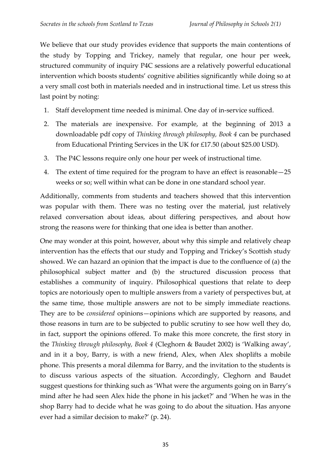We believe that our study provides evidence that supports the main contentions of the study by Topping and Trickey, namely that regular, one hour per week, structured community of inquiry P4C sessions are a relatively powerful educational intervention which boosts students' cognitive abilities significantly while doing so at a very small cost both in materials needed and in instructional time. Let us stress this last point by noting:

- 1. Staff development time needed is minimal. One day of in-service sufficed.
- 2. The materials are inexpensive. For example, at the beginning of 2013 a downloadable pdf copy of *Thinking through philosophy, Book 4* can be purchased from Educational Printing Services in the UK for £17.50 (about \$25.00 USD).
- 3. The P4C lessons require only one hour per week of instructional time.
- 4. The extent of time required for the program to have an effect is reasonable—25 weeks or so; well within what can be done in one standard school year.

Additionally, comments from students and teachers showed that this intervention was popular with them. There was no testing over the material, just relatively relaxed conversation about ideas, about differing perspectives, and about how strong the reasons were for thinking that one idea is better than another.

One may wonder at this point, however, about why this simple and relatively cheap intervention has the effects that our study and Topping and Trickey's Scottish study showed. We can hazard an opinion that the impact is due to the confluence of (a) the philosophical subject matter and (b) the structured discussion process that establishes a community of inquiry. Philosophical questions that relate to deep topics are notoriously open to multiple answers from a variety of perspectives but, at the same time, those multiple answers are not to be simply immediate reactions. They are to be *considered* opinions—opinions which are supported by reasons, and those reasons in turn are to be subjected to public scrutiny to see how well they do, in fact, support the opinions offered. To make this more concrete, the first story in the *Thinking through philosophy, Book 4* (Cleghorn & Baudet 2002) is 'Walking away', and in it a boy, Barry, is with a new friend, Alex, when Alex shoplifts a mobile phone. This presents a moral dilemma for Barry, and the invitation to the students is to discuss various aspects of the situation. Accordingly, Cleghorn and Baudet suggest questions for thinking such as 'What were the arguments going on in Barry's mind after he had seen Alex hide the phone in his jacket?' and 'When he was in the shop Barry had to decide what he was going to do about the situation. Has anyone ever had a similar decision to make?' (p. 24).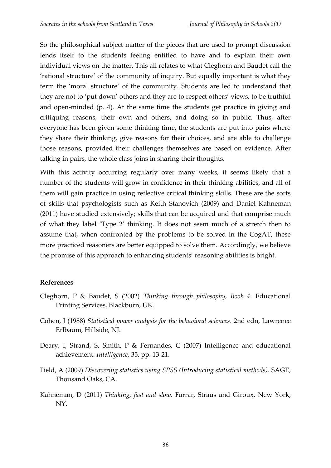So the philosophical subject matter of the pieces that are used to prompt discussion lends itself to the students feeling entitled to have and to explain their own individual views on the matter. This all relates to what Cleghorn and Baudet call the 'rational structure' of the community of inquiry. But equally important is what they term the 'moral structure' of the community. Students are led to understand that they are not to 'put down' others and they are to respect others' views, to be truthful and open-minded (p. 4). At the same time the students get practice in giving and critiquing reasons, their own and others, and doing so in public. Thus, after everyone has been given some thinking time, the students are put into pairs where they share their thinking, give reasons for their choices, and are able to challenge those reasons, provided their challenges themselves are based on evidence. After talking in pairs, the whole class joins in sharing their thoughts.

With this activity occurring regularly over many weeks, it seems likely that a number of the students will grow in confidence in their thinking abilities, and all of them will gain practice in using reflective critical thinking skills. These are the sorts of skills that psychologists such as Keith Stanovich (2009) and Daniel Kahneman (2011) have studied extensively; skills that can be acquired and that comprise much of what they label 'Type 2' thinking. It does not seem much of a stretch then to assume that, when confronted by the problems to be solved in the CogAT, these more practiced reasoners are better equipped to solve them. Accordingly, we believe the promise of this approach to enhancing students' reasoning abilities is bright.

### **References**

- Cleghorn, P & Baudet, S (2002) *Thinking through philosophy, Book 4*. Educational Printing Services, Blackburn, UK.
- Cohen, J (1988) *Statistical power analysis for the behavioral sciences*. 2nd edn, Lawrence Erlbaum, Hillside, NJ.
- Deary, I, Strand, S, Smith, P & Fernandes, C (2007) Intelligence and educational achievement. *Intelligence,* 35, pp. 13-21.
- Field, A (2009) *Discovering statistics using SPSS (Introducing statistical methods)*. SAGE, Thousand Oaks, CA.
- Kahneman, D (2011) *Thinking, fast and slow*. Farrar, Straus and Giroux, New York, NY.